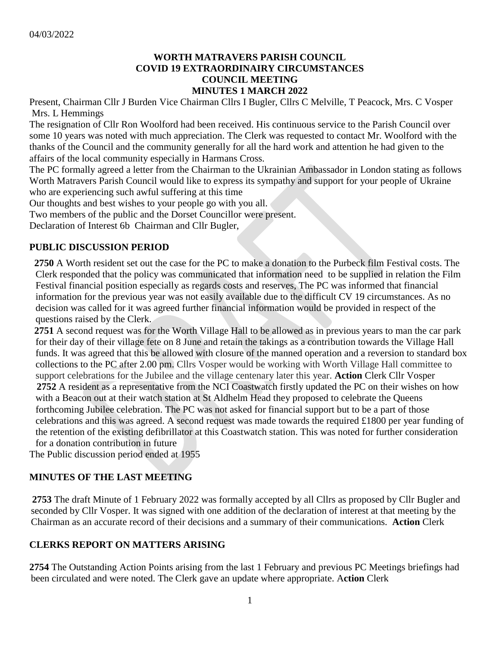## **WORTH MATRAVERS PARISH COUNCIL COVID 19 EXTRAORDINAIRY CIRCUMSTANCES COUNCIL MEETING MINUTES 1 MARCH 2022**

Present, Chairman Cllr J Burden Vice Chairman Cllrs I Bugler, Cllrs C Melville, T Peacock, Mrs. C Vosper Mrs. L Hemmings

The resignation of Cllr Ron Woolford had been received. His continuous service to the Parish Council over some 10 years was noted with much appreciation. The Clerk was requested to contact Mr. Woolford with the thanks of the Council and the community generally for all the hard work and attention he had given to the affairs of the local community especially in Harmans Cross.

The PC formally agreed a letter from the Chairman to the Ukrainian Ambassador in London stating as follows Worth Matravers Parish Council would like to express its sympathy and support for your people of Ukraine who are experiencing such awful suffering at this time

Our thoughts and best wishes to your people go with you all.

Two members of the public and the Dorset Councillor were present.

Declaration of Interest 6b Chairman and Cllr Bugler,

#### **PUBLIC DISCUSSION PERIOD**

 **2750** A Worth resident set out the case for the PC to make a donation to the Purbeck film Festival costs. The Clerk responded that the policy was communicated that information need to be supplied in relation the Film Festival financial position especially as regards costs and reserves, The PC was informed that financial information for the previous year was not easily available due to the difficult CV 19 circumstances. As no decision was called for it was agreed further financial information would be provided in respect of the questions raised by the Clerk.

 **2751** A second request was for the Worth Village Hall to be allowed as in previous years to man the car park for their day of their village fete on 8 June and retain the takings as a contribution towards the Village Hall funds. It was agreed that this be allowed with closure of the manned operation and a reversion to standard box collections to the PC after 2.00 pm. Cllrs Vosper would be working with Worth Village Hall committee to support celebrations for the Jubilee and the village centenary later this year. **Action** Clerk Cllr Vosper **2752** A resident as a representative from the NCI Coastwatch firstly updated the PC on their wishes on how with a Beacon out at their watch station at St Aldhelm Head they proposed to celebrate the Queens forthcoming Jubilee celebration. The PC was not asked for financial support but to be a part of those celebrations and this was agreed. A second request was made towards the required £1800 per year funding of the retention of the existing defibrillator at this Coastwatch station. This was noted for further consideration for a donation contribution in future

The Public discussion period ended at 1955

## **MINUTES OF THE LAST MEETING**

 **2753** The draft Minute of 1 February 2022 was formally accepted by all Cllrs as proposed by Cllr Bugler and seconded by Cllr Vosper. It was signed with one addition of the declaration of interest at that meeting by the Chairman as an accurate record of their decisions and a summary of their communications. **Action** Clerk

## **CLERKS REPORT ON MATTERS ARISING**

**2754** The Outstanding Action Points arising from the last 1 February and previous PC Meetings briefings had been circulated and were noted. The Clerk gave an update where appropriate. A**ction** Clerk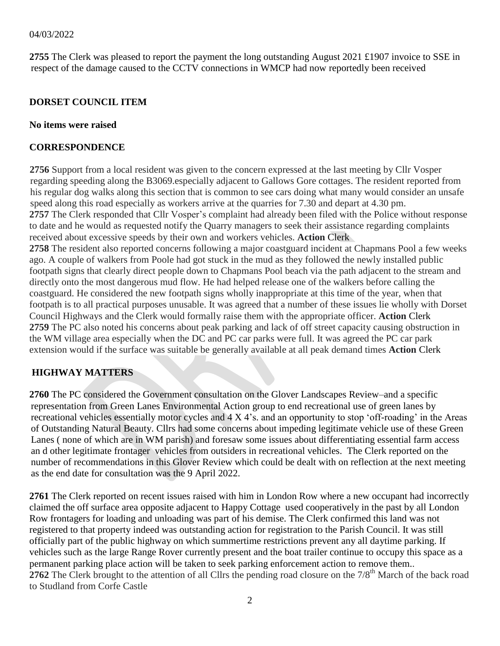#### 04/03/2022

**2755** The Clerk was pleased to report the payment the long outstanding August 2021 £1907 invoice to SSE in respect of the damage caused to the CCTV connections in WMCP had now reportedly been received

## **DORSET COUNCIL ITEM**

#### **No items were raised**

### **CORRESPONDENCE**

 **2756** Support from a local resident was given to the concern expressed at the last meeting by Cllr Vosper regarding speeding along the B3069.especially adjacent to Gallows Gore cottages. The resident reported from his regular dog walks along this section that is common to see cars doing what many would consider an unsafe speed along this road especially as workers arrive at the quarries for 7.30 and depart at 4.30 pm. **2757** The Clerk responded that Cllr Vosper's complaint had already been filed with the Police without response to date and he would as requested notify the Quarry managers to seek their assistance regarding complaints received about excessive speeds by their own and workers vehicles. **Action** Clerk **2758** The resident also reported concerns following a major coastguard incident at Chapmans Pool a few weeks ago. A couple of walkers from Poole had got stuck in the mud as they followed the newly installed public footpath signs that clearly direct people down to Chapmans Pool beach via the path adjacent to the stream and directly onto the most dangerous mud flow. He had helped release one of the walkers before calling the coastguard. He considered the new footpath signs wholly inappropriate at this time of the year, when that footpath is to all practical purposes unusable. It was agreed that a number of these issues lie wholly with Dorset Council Highways and the Clerk would formally raise them with the appropriate officer. **Action** Clerk **2759** The PC also noted his concerns about peak parking and lack of off street capacity causing obstruction in the WM village area especially when the DC and PC car parks were full. It was agreed the PC car park

## **HIGHWAY MATTERS**

**2760** The PC considered the Government consultation on the Glover Landscapes Review–and a specific representation from Green Lanes Environmental Action group to end recreational use of green lanes by recreational vehicles essentially motor cycles and 4 X 4's. and an opportunity to stop 'off-roading' in the Areas of Outstanding Natural Beauty. Cllrs had some concerns about impeding legitimate vehicle use of these Green Lanes ( none of which are in WM parish) and foresaw some issues about differentiating essential farm access an d other legitimate frontager vehicles from outsiders in recreational vehicles. The Clerk reported on the number of recommendations in this Glover Review which could be dealt with on reflection at the next meeting as the end date for consultation was the 9 April 2022.

extension would if the surface was suitable be generally available at all peak demand times **Action** Clerk

**2761** The Clerk reported on recent issues raised with him in London Row where a new occupant had incorrectly claimed the off surface area opposite adjacent to Happy Cottage used cooperatively in the past by all London Row frontagers for loading and unloading was part of his demise. The Clerk confirmed this land was not registered to that property indeed was outstanding action for registration to the Parish Council. It was still officially part of the public highway on which summertime restrictions prevent any all daytime parking. If vehicles such as the large Range Rover currently present and the boat trailer continue to occupy this space as a permanent parking place action will be taken to seek parking enforcement action to remove them.. **2762** The Clerk brought to the attention of all Cllrs the pending road closure on the 7/8<sup>th</sup> March of the back road to Studland from Corfe Castle